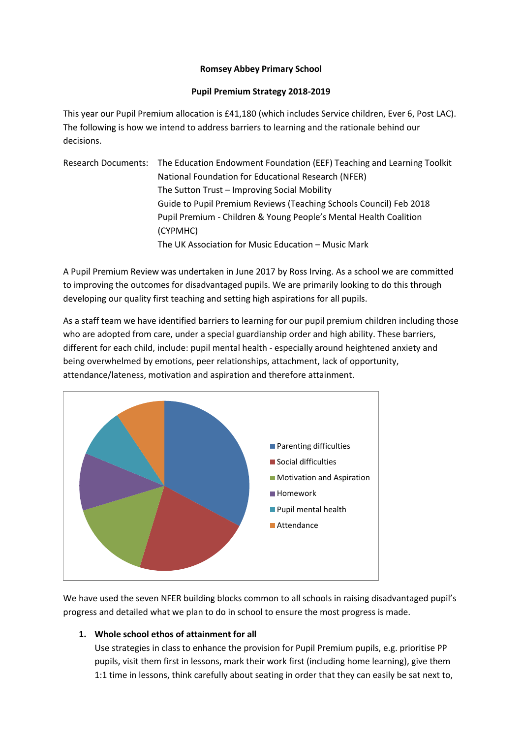## **Romsey Abbey Primary School**

## **Pupil Premium Strategy 2018-2019**

This year our Pupil Premium allocation is £41,180 (which includes Service children, Ever 6, Post LAC). The following is how we intend to address barriers to learning and the rationale behind our decisions.

Research Documents: The Education Endowment Foundation (EEF) Teaching and Learning Toolkit National Foundation for Educational Research (NFER) The Sutton Trust – Improving Social Mobility Guide to Pupil Premium Reviews (Teaching Schools Council) Feb 2018 Pupil Premium - Children & Young People's Mental Health Coalition (CYPMHC) The UK Association for Music Education – Music Mark

A Pupil Premium Review was undertaken in June 2017 by Ross Irving. As a school we are committed to improving the outcomes for disadvantaged pupils. We are primarily looking to do this through developing our quality first teaching and setting high aspirations for all pupils.

As a staff team we have identified barriers to learning for our pupil premium children including those who are adopted from care, under a special guardianship order and high ability. These barriers, different for each child, include: pupil mental health - especially around heightened anxiety and being overwhelmed by emotions, peer relationships, attachment, lack of opportunity, attendance/lateness, motivation and aspiration and therefore attainment.



We have used the seven NFER building blocks common to all schools in raising disadvantaged pupil's progress and detailed what we plan to do in school to ensure the most progress is made.

## **1. Whole school ethos of attainment for all**

Use strategies in class to enhance the provision for Pupil Premium pupils, e.g. prioritise PP pupils, visit them first in lessons, mark their work first (including home learning), give them 1:1 time in lessons, think carefully about seating in order that they can easily be sat next to,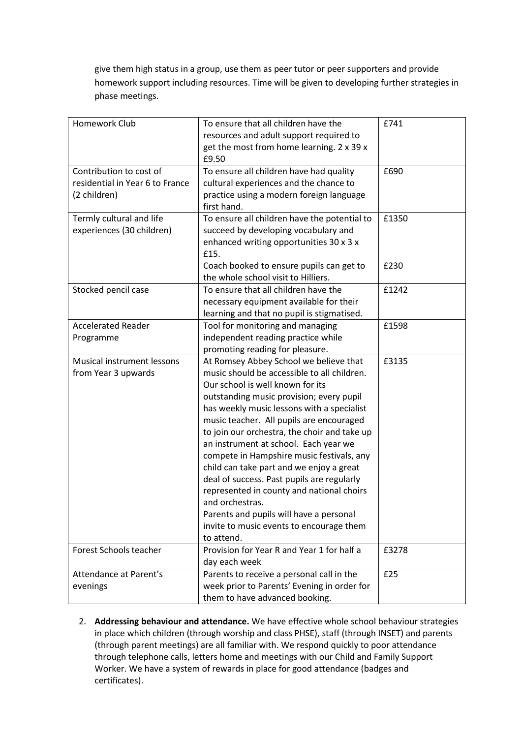give them high status in a group, use them as peer tutor or peer supporters and provide homework support including resources. Time will be given to developing further strategies in phase meetings.

| Homework Club                   | To ensure that all children have the         | £741  |
|---------------------------------|----------------------------------------------|-------|
|                                 | resources and adult support required to      |       |
|                                 | get the most from home learning. 2 x 39 x    |       |
|                                 | £9.50                                        |       |
| Contribution to cost of         | To ensure all children have had quality      | £690  |
| residential in Year 6 to France | cultural experiences and the chance to       |       |
| (2 children)                    | practice using a modern foreign language     |       |
|                                 | first hand.                                  |       |
| Termly cultural and life        | To ensure all children have the potential to | £1350 |
| experiences (30 children)       | succeed by developing vocabulary and         |       |
|                                 | enhanced writing opportunities 30 x 3 x      |       |
|                                 | £15.                                         |       |
|                                 | Coach booked to ensure pupils can get to     | £230  |
|                                 | the whole school visit to Hilliers.          |       |
| Stocked pencil case             | To ensure that all children have the         | £1242 |
|                                 | necessary equipment available for their      |       |
|                                 | learning and that no pupil is stigmatised.   |       |
| <b>Accelerated Reader</b>       | Tool for monitoring and managing             | £1598 |
| Programme                       | independent reading practice while           |       |
|                                 | promoting reading for pleasure.              |       |
| Musical instrument lessons      | At Romsey Abbey School we believe that       | £3135 |
| from Year 3 upwards             | music should be accessible to all children.  |       |
|                                 | Our school is well known for its             |       |
|                                 | outstanding music provision; every pupil     |       |
|                                 | has weekly music lessons with a specialist   |       |
|                                 | music teacher. All pupils are encouraged     |       |
|                                 | to join our orchestra, the choir and take up |       |
|                                 | an instrument at school. Each year we        |       |
|                                 | compete in Hampshire music festivals, any    |       |
|                                 | child can take part and we enjoy a great     |       |
|                                 | deal of success. Past pupils are regularly   |       |
|                                 | represented in county and national choirs    |       |
|                                 | and orchestras.                              |       |
|                                 | Parents and pupils will have a personal      |       |
|                                 | invite to music events to encourage them     |       |
|                                 | to attend.                                   |       |
| Forest Schools teacher          | Provision for Year R and Year 1 for half a   | £3278 |
|                                 | day each week                                |       |
| Attendance at Parent's          | Parents to receive a personal call in the    | £25   |
| evenings                        | week prior to Parents' Evening in order for  |       |
|                                 | them to have advanced booking.               |       |

2. **Addressing behaviour and attendance.** We have effective whole school behaviour strategies in place which children (through worship and class PHSE), staff (through INSET) and parents (through parent meetings) are all familiar with. We respond quickly to poor attendance through telephone calls, letters home and meetings with our Child and Family Support Worker. We have a system of rewards in place for good attendance (badges and certificates).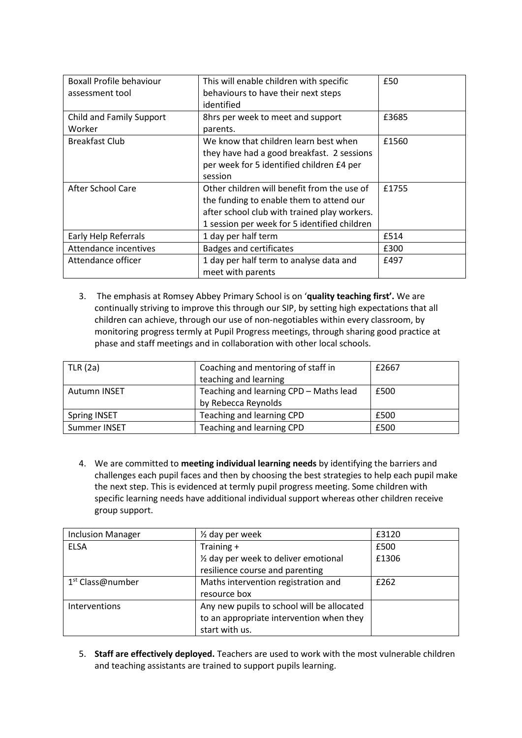| <b>Boxall Profile behaviour</b> | This will enable children with specific      | £50   |
|---------------------------------|----------------------------------------------|-------|
| assessment tool                 | behaviours to have their next steps          |       |
|                                 | identified                                   |       |
| Child and Family Support        | 8hrs per week to meet and support            | £3685 |
| Worker                          | parents.                                     |       |
| <b>Breakfast Club</b>           | We know that children learn best when        | £1560 |
|                                 | they have had a good breakfast. 2 sessions   |       |
|                                 | per week for 5 identified children £4 per    |       |
|                                 | session                                      |       |
| After School Care               | Other children will benefit from the use of  | £1755 |
|                                 | the funding to enable them to attend our     |       |
|                                 | after school club with trained play workers. |       |
|                                 | 1 session per week for 5 identified children |       |
| Early Help Referrals            | 1 day per half term                          | £514  |
| Attendance incentives           | <b>Badges and certificates</b>               | £300  |
| Attendance officer              | 1 day per half term to analyse data and      | £497  |
|                                 | meet with parents                            |       |

3. The emphasis at Romsey Abbey Primary School is on '**quality teaching first'.** We are continually striving to improve this through our SIP, by setting high expectations that all children can achieve, through our use of non-negotiables within every classroom, by monitoring progress termly at Pupil Progress meetings, through sharing good practice at phase and staff meetings and in collaboration with other local schools.

| TLR(2a)             | Coaching and mentoring of staff in<br>teaching and learning   | £2667 |
|---------------------|---------------------------------------------------------------|-------|
| <b>Autumn INSET</b> | Teaching and learning CPD - Maths lead<br>by Rebecca Reynolds | £500  |
| Spring INSET        | Teaching and learning CPD                                     | £500  |
| Summer INSET        | Teaching and learning CPD                                     | £500  |

4. We are committed to **meeting individual learning needs** by identifying the barriers and challenges each pupil faces and then by choosing the best strategies to help each pupil make the next step. This is evidenced at termly pupil progress meeting. Some children with specific learning needs have additional individual support whereas other children receive group support.

| <b>Inclusion Manager</b>     | $\frac{1}{2}$ day per week                 | £3120 |
|------------------------------|--------------------------------------------|-------|
| <b>ELSA</b>                  | Training +                                 | £500  |
|                              | 1/2 day per week to deliver emotional      | £1306 |
|                              | resilience course and parenting            |       |
| 1 <sup>st</sup> Class@number | Maths intervention registration and        | £262  |
|                              | resource box                               |       |
| Interventions                | Any new pupils to school will be allocated |       |
|                              | to an appropriate intervention when they   |       |
|                              | start with us.                             |       |

5. **Staff are effectively deployed.** Teachers are used to work with the most vulnerable children and teaching assistants are trained to support pupils learning.